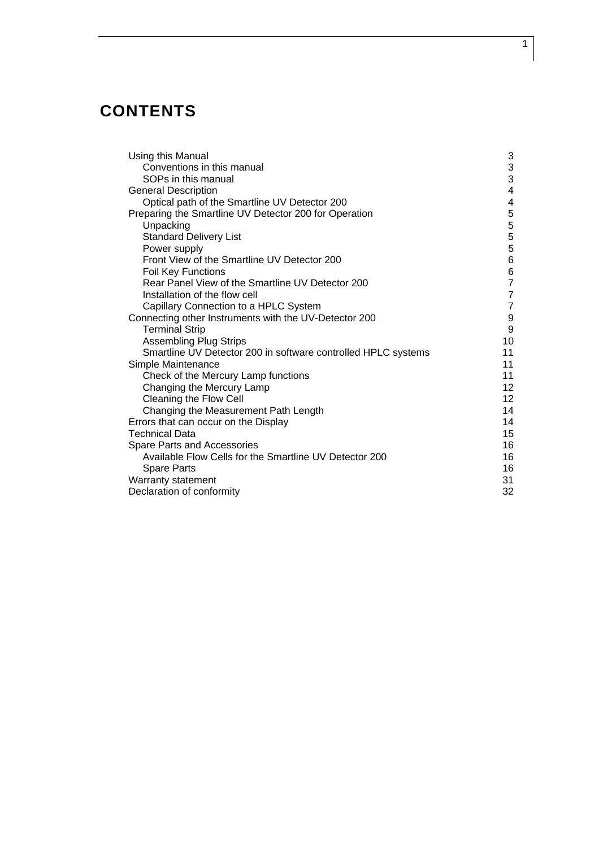# **CONTENTS**

| Using this Manual                                             | 3                                     |
|---------------------------------------------------------------|---------------------------------------|
| Conventions in this manual                                    | $\frac{3}{3}$                         |
| SOPs in this manual                                           |                                       |
| <b>General Description</b>                                    | 4                                     |
| Optical path of the Smartline UV Detector 200                 | 4                                     |
| Preparing the Smartline UV Detector 200 for Operation         | 5                                     |
| Unpacking                                                     | 5                                     |
| <b>Standard Delivery List</b>                                 | $\overline{5}$                        |
| Power supply                                                  |                                       |
| Front View of the Smartline UV Detector 200                   | $\begin{array}{c} 5 \\ 6 \end{array}$ |
| Foil Key Functions                                            | $\frac{6}{7}$                         |
| Rear Panel View of the Smartline UV Detector 200              |                                       |
| Installation of the flow cell                                 | $\overline{\mathbf{7}}$               |
| Capillary Connection to a HPLC System                         | $\overline{7}$                        |
| Connecting other Instruments with the UV-Detector 200         | $\boldsymbol{9}$                      |
| <b>Terminal Strip</b>                                         | 9                                     |
| <b>Assembling Plug Strips</b>                                 | 10                                    |
| Smartline UV Detector 200 in software controlled HPLC systems | 11                                    |
| Simple Maintenance                                            | 11                                    |
| Check of the Mercury Lamp functions                           | 11                                    |
| Changing the Mercury Lamp                                     | 12                                    |
| Cleaning the Flow Cell                                        | 12                                    |
| Changing the Measurement Path Length                          | 14                                    |
| Errors that can occur on the Display                          | 14                                    |
| <b>Technical Data</b>                                         | 15                                    |
| Spare Parts and Accessories                                   | 16                                    |
| Available Flow Cells for the Smartline UV Detector 200        | 16                                    |
| <b>Spare Parts</b>                                            | 16                                    |
| Warranty statement                                            | 31                                    |
| Declaration of conformity                                     | 32                                    |

1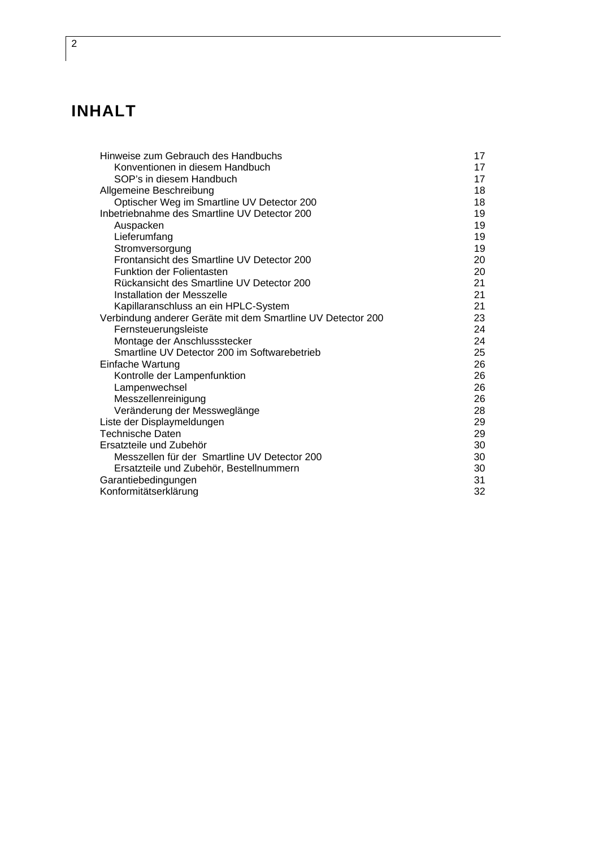# **INHALT**

| Hinweise zum Gebrauch des Handbuchs                         | 17 |
|-------------------------------------------------------------|----|
| Konventionen in diesem Handbuch                             | 17 |
| SOP's in diesem Handbuch                                    | 17 |
| Allgemeine Beschreibung                                     | 18 |
| Optischer Weg im Smartline UV Detector 200                  | 18 |
| Inbetriebnahme des Smartline UV Detector 200                | 19 |
| Auspacken                                                   | 19 |
| Lieferumfang                                                | 19 |
| Stromversorgung                                             | 19 |
| Frontansicht des Smartline UV Detector 200                  | 20 |
| <b>Funktion der Folientasten</b>                            | 20 |
| Rückansicht des Smartline UV Detector 200                   | 21 |
| Installation der Messzelle                                  | 21 |
| Kapillaranschluss an ein HPLC-System                        | 21 |
| Verbindung anderer Geräte mit dem Smartline UV Detector 200 | 23 |
| Fernsteuerungsleiste                                        | 24 |
| Montage der Anschlussstecker                                | 24 |
| Smartline UV Detector 200 im Softwarebetrieb                | 25 |
| Einfache Wartung                                            | 26 |
| Kontrolle der Lampenfunktion                                | 26 |
| Lampenwechsel                                               | 26 |
| Messzellenreinigung                                         | 26 |
| Veränderung der Messweglänge                                | 28 |
| Liste der Displaymeldungen                                  | 29 |
| Technische Daten                                            | 29 |
| Ersatzteile und Zubehör                                     | 30 |
| Messzellen für der Smartline UV Detector 200                | 30 |
| Ersatzteile und Zubehör, Bestellnummern                     | 30 |
| Garantiebedingungen                                         | 31 |
| Konformitätserklärung                                       | 32 |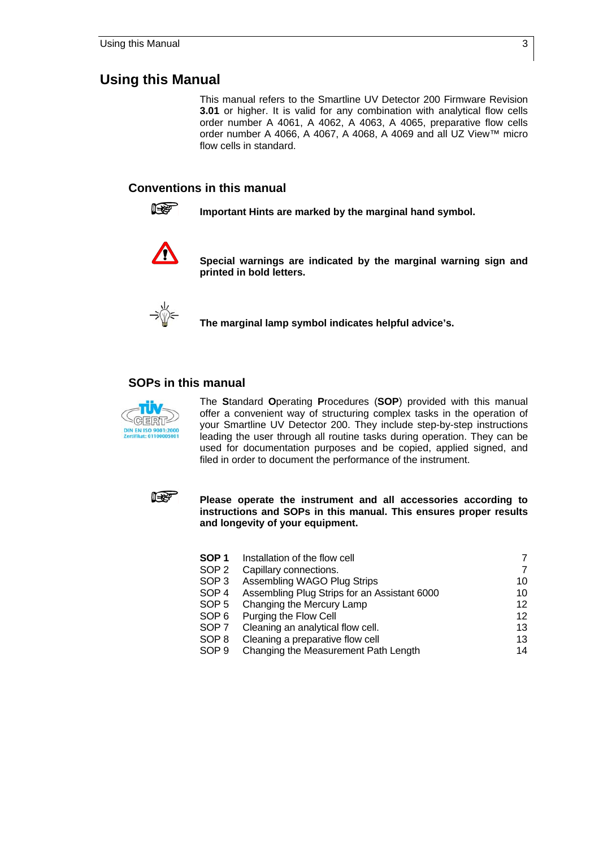### **Using this Manual**

This manual refers to the Smartline UV Detector 200 Firmware Revision **3.01** or higher. It is valid for any combination with analytical flow cells order number A 4061, A 4062, A 4063, A 4065, preparative flow cells order number A 4066, A 4067, A 4068, A 4069 and all UZ View™ micro flow cells in standard.

#### **Conventions in this manual**



**IGGET** Important Hints are marked by the marginal hand symbol.



 **Special warnings are indicated by the marginal warning sign and printed in bold letters.** 



 **The marginal lamp symbol indicates helpful advice's.** 

### **SOPs in this manual**



The **S**tandard **O**perating **P**rocedures (**SOP**) provided with this manual offer a convenient way of structuring complex tasks in the operation of your Smartline UV Detector 200. They include step-by-step instructions leading the user through all routine tasks during operation. They can be used for documentation purposes and be copied, applied signed, and filed in order to document the performance of the instrument.



 **Please operate the instrument and all accessories according to instructions and SOPs in this manual. This ensures proper results and longevity of your equipment.** 

| SOP 1 | Installation of the flow cell                |                 |
|-------|----------------------------------------------|-----------------|
| SOP 2 | Capillary connections.                       | 7               |
| SOP 3 | Assembling WAGO Plug Strips                  | 10              |
| SOP 4 | Assembling Plug Strips for an Assistant 6000 | 10              |
| SOP 5 | Changing the Mercury Lamp                    | 12              |
| SOP 6 | Purging the Flow Cell                        | 12 <sup>°</sup> |
| SOP 7 | Cleaning an analytical flow cell.            | 13              |
| SOP 8 | Cleaning a preparative flow cell             | 13              |
| SOP 9 | Changing the Measurement Path Length         | 14              |
|       |                                              |                 |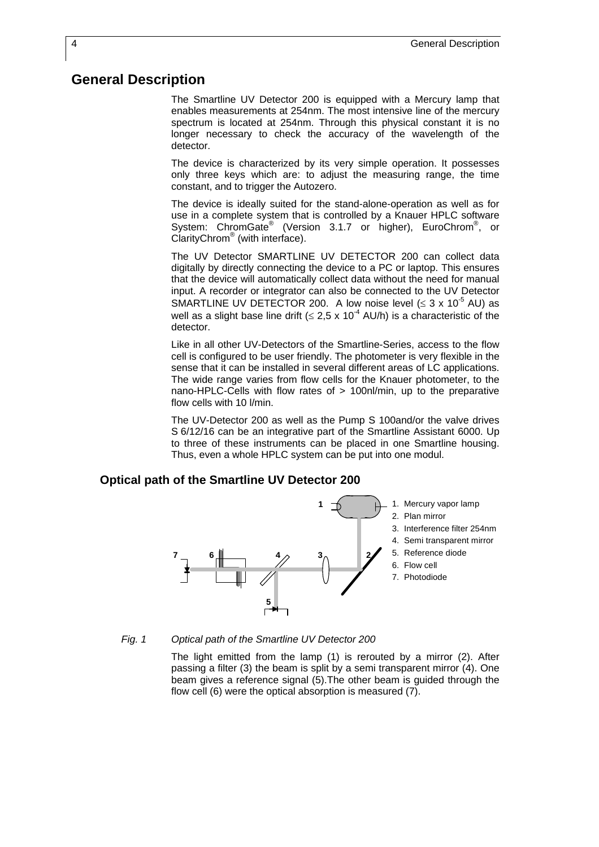### **General Description**

The Smartline UV Detector 200 is equipped with a Mercury lamp that enables measurements at 254nm. The most intensive line of the mercury spectrum is located at 254nm. Through this physical constant it is no longer necessary to check the accuracy of the wavelength of the detector.

The device is characterized by its very simple operation. It possesses only three keys which are: to adjust the measuring range, the time constant, and to trigger the Autozero.

The device is ideally suited for the stand-alone-operation as well as for use in a complete system that is controlled by a Knauer HPLC software System: ChromGate<sup>®</sup> (Version 3.1.7 or higher), EuroChrom<sup>®</sup>, or ClarityChrom<sup>®</sup> (with interface).

The UV Detector SMARTLINE UV DETECTOR 200 can collect data digitally by directly connecting the device to a PC or laptop. This ensures that the device will automatically collect data without the need for manual input. A recorder or integrator can also be connected to the UV Detector SMARTLINE UV DETECTOR 200. A low noise level  $( \leq 3 \times 10^{-5} )$  AU) as well as a slight base line drift ( $\leq 2.5 \times 10^{-4}$  AU/h) is a characteristic of the detector.

Like in all other UV-Detectors of the Smartline-Series, access to the flow cell is configured to be user friendly. The photometer is very flexible in the sense that it can be installed in several different areas of LC applications. The wide range varies from flow cells for the Knauer photometer, to the nano-HPLC-Cells with flow rates of > 100nl/min, up to the preparative flow cells with 10 l/min.

The UV-Detector 200 as well as the Pump S 100and/or the valve drives S 6/12/16 can be an integrative part of the Smartline Assistant 6000. Up to three of these instruments can be placed in one Smartline housing. Thus, even a whole HPLC system can be put into one modul.

### **Optical path of the Smartline UV Detector 200**



*Fig. 1 Optical path of the Smartline UV Detector 200* 

The light emitted from the lamp (1) is rerouted by a mirror (2). After passing a filter (3) the beam is split by a semi transparent mirror (4). One beam gives a reference signal (5).The other beam is guided through the flow cell (6) were the optical absorption is measured (7).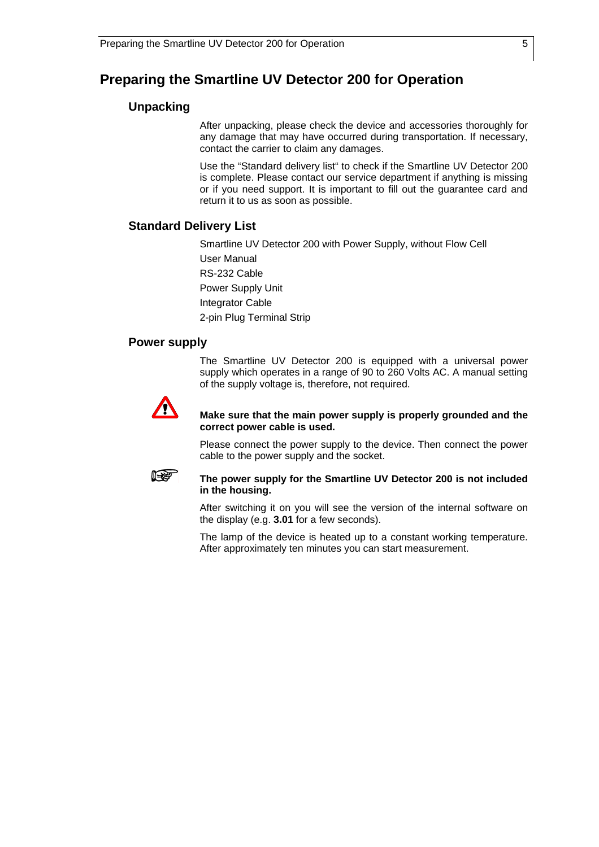## **Preparing the Smartline UV Detector 200 for Operation**

### **Unpacking**

After unpacking, please check the device and accessories thoroughly for any damage that may have occurred during transportation. If necessary, contact the carrier to claim any damages.

Use the "Standard delivery list" to check if the Smartline UV Detector 200 is complete. Please contact our service department if anything is missing or if you need support. It is important to fill out the guarantee card and return it to us as soon as possible.

### **Standard Delivery List**

Smartline UV Detector 200 with Power Supply, without Flow Cell

User Manual RS-232 Cable Power Supply Unit Integrator Cable 2-pin Plug Terminal Strip

### **Power supply**

The Smartline UV Detector 200 is equipped with a universal power supply which operates in a range of 90 to 260 Volts AC. A manual setting of the supply voltage is, therefore, not required.



#### **Make sure that the main power supply is properly grounded and the correct power cable is used.**

Please connect the power supply to the device. Then connect the power cable to the power supply and the socket.



#### **The power supply for the Smartline UV Detector 200 is not included in the housing.**

After switching it on you will see the version of the internal software on the display (e.g. **3.01** for a few seconds).

The lamp of the device is heated up to a constant working temperature. After approximately ten minutes you can start measurement.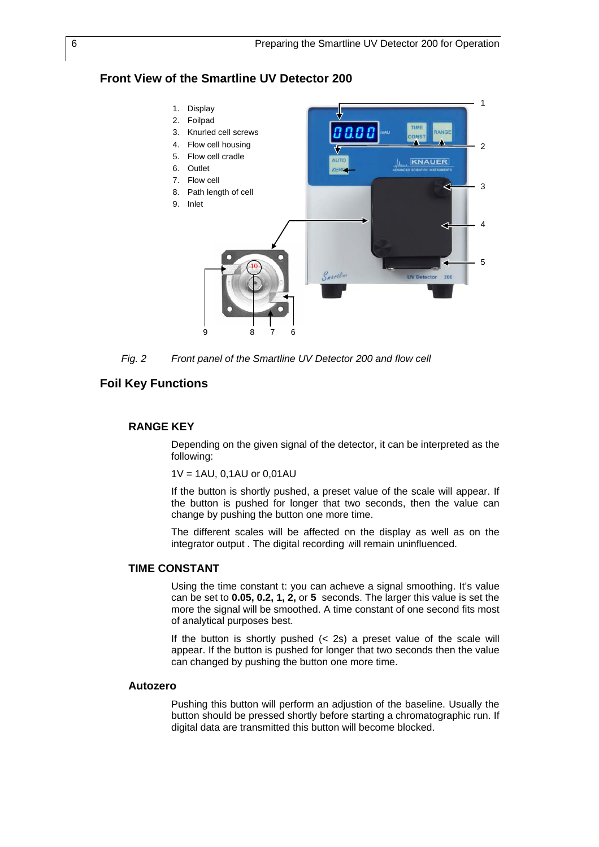### **Front View of the Smartline UV Detector 200**



*Fig. 2 Front panel of the Smartline UV Detector 200 and flow cell* 

#### **Foil Key Functions**

#### **RANGE KEY**

Depending on the given signal of the detector, it can be interpreted as the following:

1V = 1AU, 0,1AU or 0,01AU

If the button is shortly pushed, a preset value of the scale will appear. If the button is pushed for longer that two seconds, then the value can change by pushing the button one more time.

The different scales will be affected on the display as well as on the integrator output . The digital recording will remain uninfluenced.

#### **TIME CONSTANT**

Using the time constant t: you can achieve a signal smoothing. It's value can be set to **0.05, 0.2, 1, 2,** or **5** seconds. The larger this value is set the more the signal will be smoothed. A time constant of one second fits most of analytical purposes best.

If the button is shortly pushed  $($  2s) a preset value of the scale will appear. If the button is pushed for longer that two seconds then the value can changed by pushing the button one more time.

#### **Autozero**

Pushing this button will perform an adjustion of the baseline. Usually the button should be pressed shortly before starting a chromatographic run. If digital data are transmitted this button will become blocked.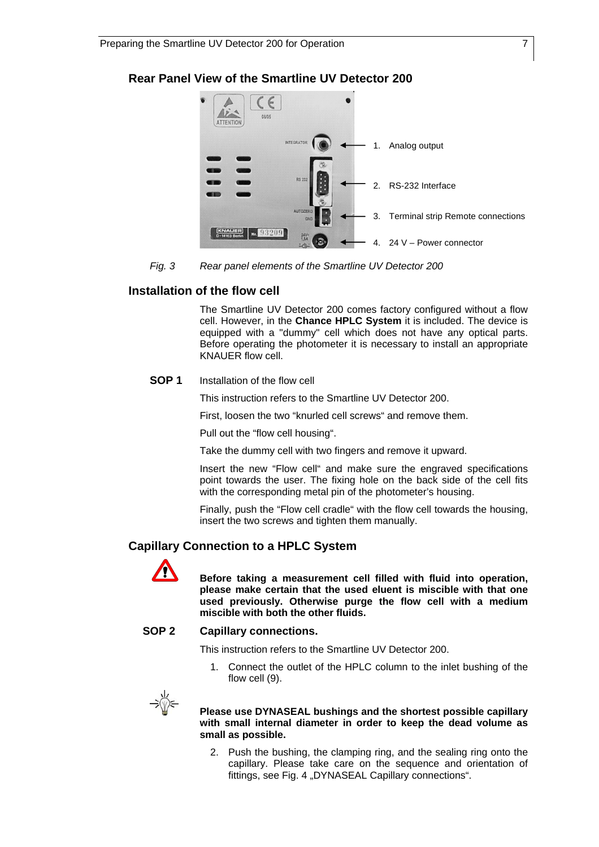### **Rear Panel View of the Smartline UV Detector 200**



*Fig. 3 Rear panel elements of the Smartline UV Detector 200* 

### **Installation of the flow cell**

The Smartline UV Detector 200 comes factory configured without a flow cell. However, in the **Chance HPLC System** it is included. The device is equipped with a "dummy" cell which does not have any optical parts. Before operating the photometer it is necessary to install an appropriate KNAUER flow cell.

#### **SOP 1** Installation of the flow cell

This instruction refers to the Smartline UV Detector 200.

First, loosen the two "knurled cell screws" and remove them.

Pull out the "flow cell housing".

Take the dummy cell with two fingers and remove it upward.

Insert the new "Flow cell" and make sure the engraved specifications point towards the user. The fixing hole on the back side of the cell fits with the corresponding metal pin of the photometer's housing.

Finally, push the "Flow cell cradle" with the flow cell towards the housing, insert the two screws and tighten them manually.

### **Capillary Connection to a HPLC System**



 **Before taking a measurement cell filled with fluid into operation, please make certain that the used eluent is miscible with that one used previously. Otherwise purge the flow cell with a medium miscible with both the other fluids.** 

### **SOP 2 Capillary connections.**

This instruction refers to the Smartline UV Detector 200.

1. Connect the outlet of the HPLC column to the inlet bushing of the flow cell (9).



 **Please use DYNASEAL bushings and the shortest possible capillary with small internal diameter in order to keep the dead volume as small as possible.** 

2. Push the bushing, the clamping ring, and the sealing ring onto the capillary. Please take care on the sequence and orientation of fittings, see Fig. 4 "DYNASEAL Capillary connections".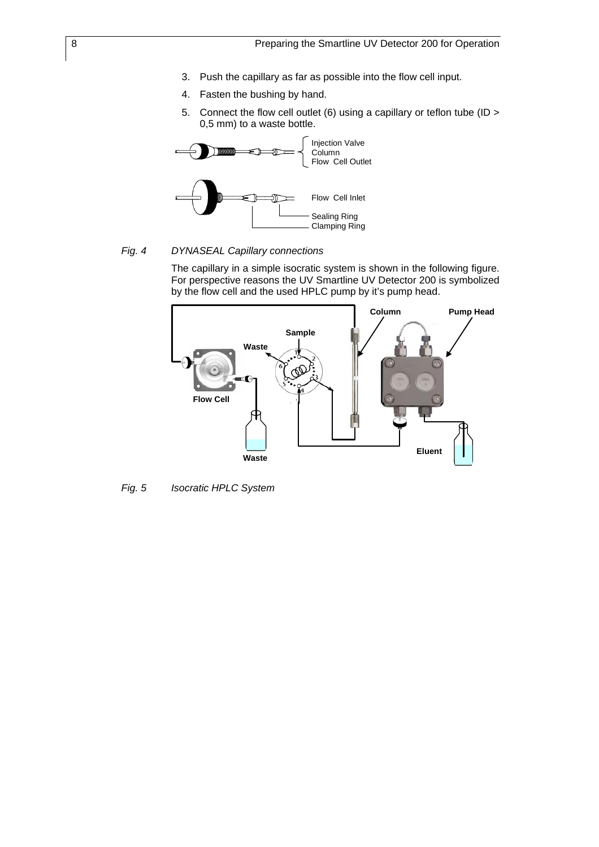- 3. Push the capillary as far as possible into the flow cell input.
- 4. Fasten the bushing by hand.
- 5. Connect the flow cell outlet (6) using a capillary or teflon tube (ID > 0,5 mm) to a waste bottle.



#### *Fig. 4 DYNASEAL Capillary connections*

The capillary in a simple isocratic system is shown in the following figure. For perspective reasons the UV Smartline UV Detector 200 is symbolized by the flow cell and the used HPLC pump by it's pump head.



*Fig. 5 Isocratic HPLC System*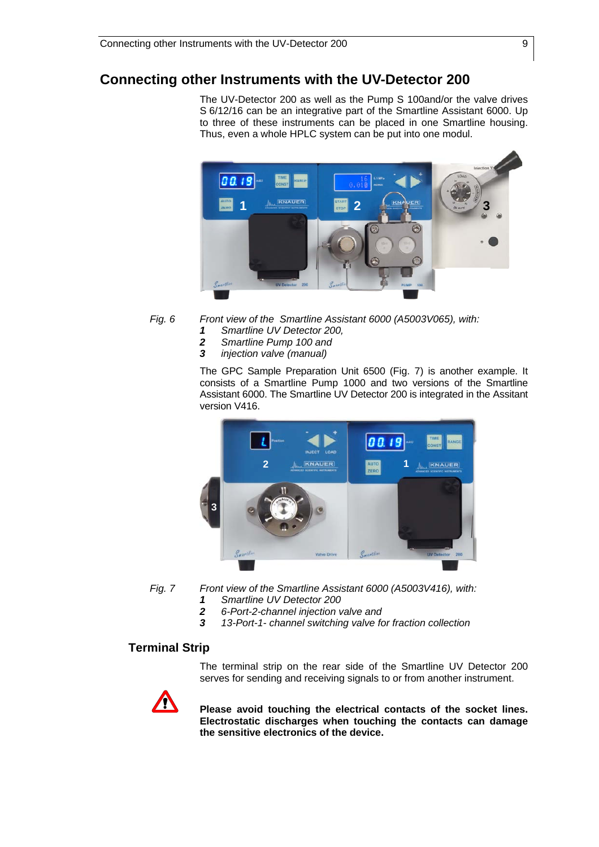### **Connecting other Instruments with the UV-Detector 200**

The UV-Detector 200 as well as the Pump S 100and/or the valve drives S 6/12/16 can be an integrative part of the Smartline Assistant 6000. Up to three of these instruments can be placed in one Smartline housing. Thus, even a whole HPLC system can be put into one modul.



- *Fig. 6 Front view of the Smartline Assistant 6000 (A5003V065), with:* 
	- *1 Smartline UV Detector 200,*
	- *2 Smartline Pump 100 and*
	- *3 injection valve (manual)*

The GPC Sample Preparation Unit 6500 (Fig. 7) is another example. It consists of a Smartline Pump 1000 and two versions of the Smartline Assistant 6000. The Smartline UV Detector 200 is integrated in the Assitant version V416.



- *Fig. 7 Front view of the Smartline Assistant 6000 (A5003V416), with:* 
	- *1 Smartline UV Detector 200*
	- *2 6-Port-2-channel injection valve and*
	- *3 13-Port-1- channel switching valve for fraction collection*

### **Terminal Strip**

The terminal strip on the rear side of the Smartline UV Detector 200 serves for sending and receiving signals to or from another instrument.



 **Please avoid touching the electrical contacts of the socket lines. Electrostatic discharges when touching the contacts can damage the sensitive electronics of the device.**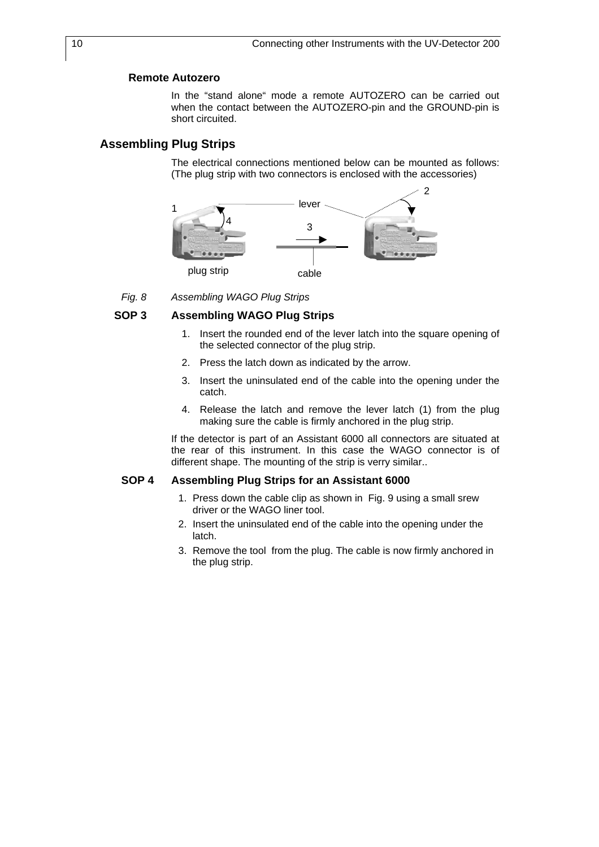#### **Remote Autozero**

In the "stand alone" mode a remote AUTOZERO can be carried out when the contact between the AUTOZERO-pin and the GROUND-pin is short circuited.

### **Assembling Plug Strips**

The electrical connections mentioned below can be mounted as follows: (The plug strip with two connectors is enclosed with the accessories)



*Fig. 8 Assembling WAGO Plug Strips* 

#### **SOP 3 Assembling WAGO Plug Strips**

- 1. Insert the rounded end of the lever latch into the square opening of the selected connector of the plug strip.
- 2. Press the latch down as indicated by the arrow.
- 3. Insert the uninsulated end of the cable into the opening under the catch.
- 4. Release the latch and remove the lever latch (1) from the plug making sure the cable is firmly anchored in the plug strip.

If the detector is part of an Assistant 6000 all connectors are situated at the rear of this instrument. In this case the WAGO connector is of different shape. The mounting of the strip is verry similar..

#### **SOP 4 Assembling Plug Strips for an Assistant 6000**

- 1. Press down the cable clip as shown in Fig. 9 using a small srew driver or the WAGO liner tool.
- 2. Insert the uninsulated end of the cable into the opening under the latch.
- 3. Remove the tool from the plug. The cable is now firmly anchored in the plug strip.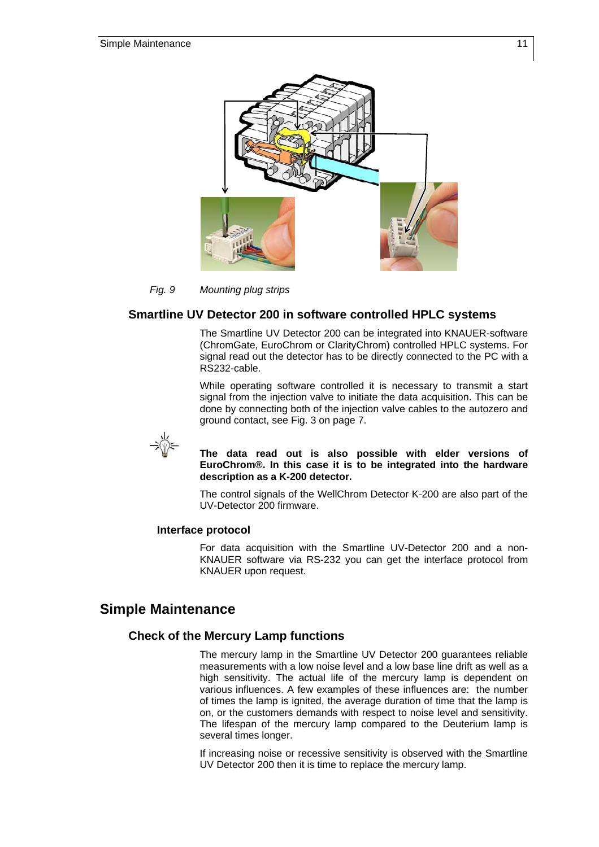

#### *Fig. 9 Mounting plug strips*

#### **Smartline UV Detector 200 in software controlled HPLC systems**

The Smartline UV Detector 200 can be integrated into KNAUER-software (ChromGate, EuroChrom or ClarityChrom) controlled HPLC systems. For signal read out the detector has to be directly connected to the PC with a RS232-cable.

While operating software controlled it is necessary to transmit a start signal from the injection valve to initiate the data acquisition. This can be done by connecting both of the injection valve cables to the autozero and ground contact, see Fig. 3 on page 7.



 **The data read out is also possible with elder versions of EuroChrom®. In this case it is to be integrated into the hardware description as a K-200 detector.** 

The control signals of the WellChrom Detector K-200 are also part of the UV-Detector 200 firmware.

#### **Interface protocol**

For data acquisition with the Smartline UV-Detector 200 and a non-KNAUER software via RS-232 you can get the interface protocol from KNAUER upon request.

### **Simple Maintenance**

#### **Check of the Mercury Lamp functions**

The mercury lamp in the Smartline UV Detector 200 guarantees reliable measurements with a low noise level and a low base line drift as well as a high sensitivity. The actual life of the mercury lamp is dependent on various influences. A few examples of these influences are: the number of times the lamp is ignited, the average duration of time that the lamp is on, or the customers demands with respect to noise level and sensitivity. The lifespan of the mercury lamp compared to the Deuterium lamp is several times longer.

If increasing noise or recessive sensitivity is observed with the Smartline UV Detector 200 then it is time to replace the mercury lamp.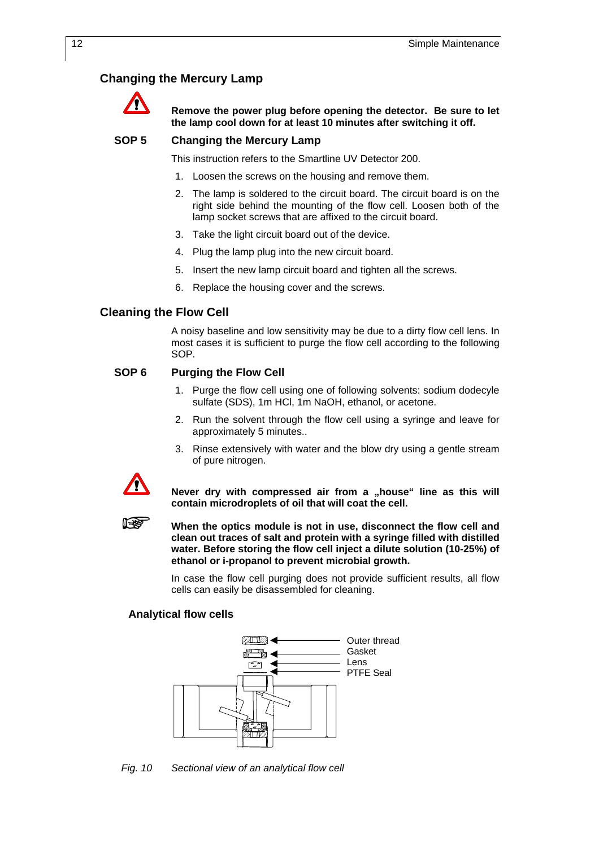### **Changing the Mercury Lamp**



 **Remove the power plug before opening the detector. Be sure to let the lamp cool down for at least 10 minutes after switching it off.** 

#### **SOP 5 Changing the Mercury Lamp**

This instruction refers to the Smartline UV Detector 200.

- 1. Loosen the screws on the housing and remove them.
- 2. The lamp is soldered to the circuit board. The circuit board is on the right side behind the mounting of the flow cell. Loosen both of the lamp socket screws that are affixed to the circuit board.
- 3. Take the light circuit board out of the device.
- 4. Plug the lamp plug into the new circuit board.
- 5. Insert the new lamp circuit board and tighten all the screws.
- 6. Replace the housing cover and the screws.

#### **Cleaning the Flow Cell**

A noisy baseline and low sensitivity may be due to a dirty flow cell lens. In most cases it is sufficient to purge the flow cell according to the following SOP.

#### **SOP 6 Purging the Flow Cell**

- 1. Purge the flow cell using one of following solvents: sodium dodecyle sulfate (SDS), 1m HCl, 1m NaOH, ethanol, or acetone.
- 2. Run the solvent through the flow cell using a syringe and leave for approximately 5 minutes..
- 3. Rinse extensively with water and the blow dry using a gentle stream of pure nitrogen.



**ISSEE** 

Never dry with compressed air from a "house" line as this will **contain microdroplets of oil that will coat the cell.** 

 **When the optics module is not in use, disconnect the flow cell and clean out traces of salt and protein with a syringe filled with distilled water. Before storing the flow cell inject a dilute solution (10-25%) of ethanol or i-propanol to prevent microbial growth.** 

In case the flow cell purging does not provide sufficient results, all flow cells can easily be disassembled for cleaning.

#### **Analytical flow cells**



*Fig. 10 Sectional view of an analytical flow cell*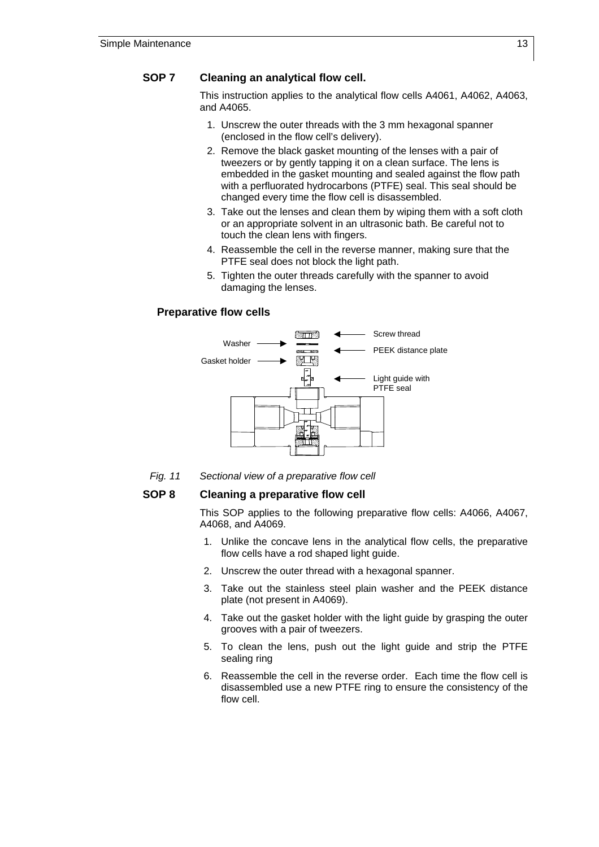### **SOP 7 Cleaning an analytical flow cell.**

This instruction applies to the analytical flow cells A4061, A4062, A4063, and A4065.

- 1. Unscrew the outer threads with the 3 mm hexagonal spanner (enclosed in the flow cell's delivery).
- 2. Remove the black gasket mounting of the lenses with a pair of tweezers or by gently tapping it on a clean surface. The lens is embedded in the gasket mounting and sealed against the flow path with a perfluorated hydrocarbons (PTFE) seal. This seal should be changed every time the flow cell is disassembled.
- 3. Take out the lenses and clean them by wiping them with a soft cloth or an appropriate solvent in an ultrasonic bath. Be careful not to touch the clean lens with fingers.
- 4. Reassemble the cell in the reverse manner, making sure that the PTFE seal does not block the light path.
- 5. Tighten the outer threads carefully with the spanner to avoid damaging the lenses.

#### **Preparative flow cells**



*Fig. 11 Sectional view of a preparative flow cell*

#### **SOP 8 Cleaning a preparative flow cell**

This SOP applies to the following preparative flow cells: A4066, A4067, A4068, and A4069.

- 1. Unlike the concave lens in the analytical flow cells, the preparative flow cells have a rod shaped light guide.
- 2. Unscrew the outer thread with a hexagonal spanner.
- 3. Take out the stainless steel plain washer and the PEEK distance plate (not present in A4069).
- 4. Take out the gasket holder with the light guide by grasping the outer grooves with a pair of tweezers.
- 5. To clean the lens, push out the light guide and strip the PTFE sealing ring
- 6. Reassemble the cell in the reverse order. Each time the flow cell is disassembled use a new PTFE ring to ensure the consistency of the flow cell.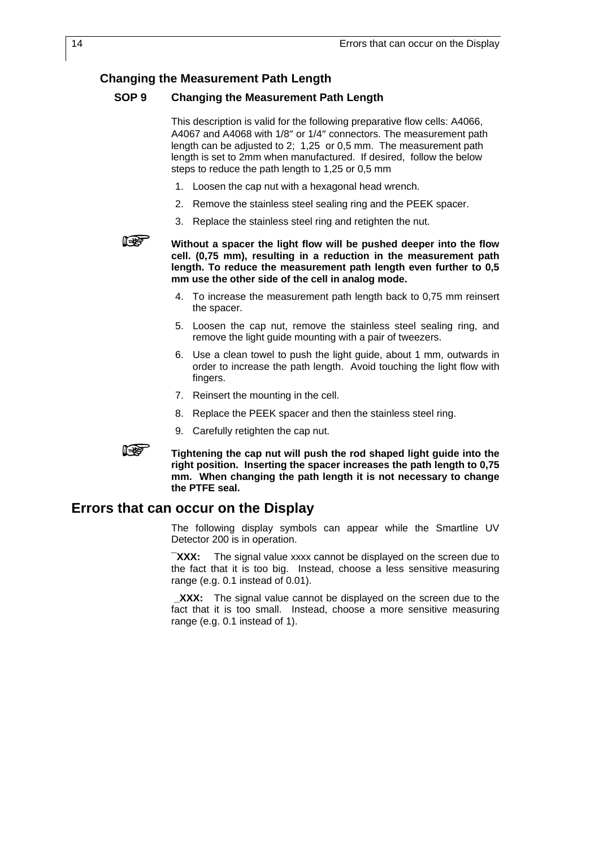### **Changing the Measurement Path Length**

#### **SOP 9 Changing the Measurement Path Length**

This description is valid for the following preparative flow cells: A4066, A4067 and A4068 with 1/8″ or 1/4″ connectors. The measurement path length can be adjusted to 2; 1,25 or 0,5 mm. The measurement path length is set to 2mm when manufactured. If desired, follow the below steps to reduce the path length to 1,25 or 0,5 mm

- 1. Loosen the cap nut with a hexagonal head wrench.
- 2. Remove the stainless steel sealing ring and the PEEK spacer.
- 3. Replace the stainless steel ring and retighten the nut.



 **Without a spacer the light flow will be pushed deeper into the flow cell. (0,75 mm), resulting in a reduction in the measurement path length. To reduce the measurement path length even further to 0,5 mm use the other side of the cell in analog mode.** 

- 4. To increase the measurement path length back to 0,75 mm reinsert the spacer.
- 5. Loosen the cap nut, remove the stainless steel sealing ring, and remove the light guide mounting with a pair of tweezers.
- 6. Use a clean towel to push the light guide, about 1 mm, outwards in order to increase the path length. Avoid touching the light flow with fingers.
- 7. Reinsert the mounting in the cell.
- 8. Replace the PEEK spacer and then the stainless steel ring.
- 9. Carefully retighten the cap nut.



 **Tightening the cap nut will push the rod shaped light guide into the right position. Inserting the spacer increases the path length to 0,75 mm. When changing the path length it is not necessary to change the PTFE seal.** 

### **Errors that can occur on the Display**

The following display symbols can appear while the Smartline UV Detector 200 is in operation.

**¯XXX:** The signal value xxxx cannot be displayed on the screen due to the fact that it is too big. Instead, choose a less sensitive measuring range (e.g. 0.1 instead of 0.01).

XXX: The signal value cannot be displayed on the screen due to the fact that it is too small. Instead, choose a more sensitive measuring range (e.g. 0.1 instead of 1).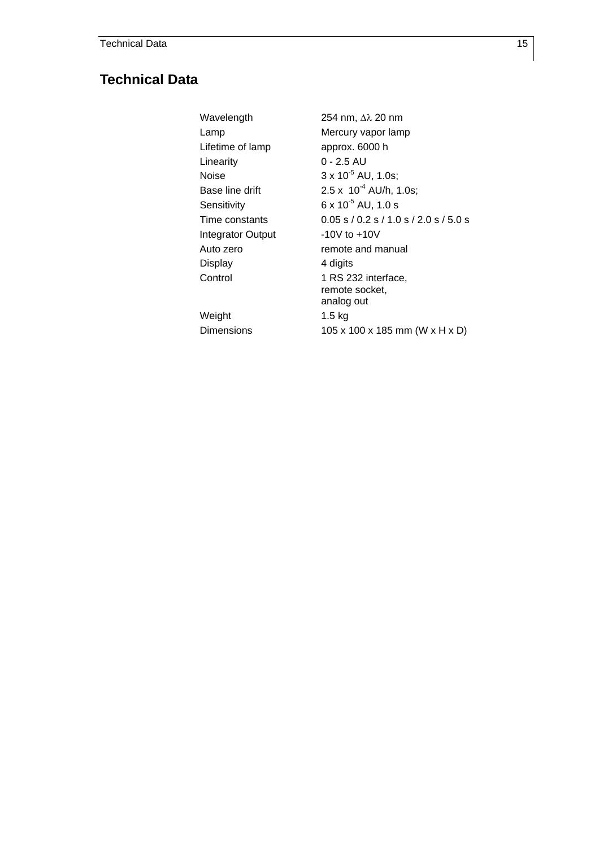## **Technical Data**

Wavelength 254 nm, ∆λ 20 nm Lamp Mercury vapor lamp Lifetime of lamp approx. 6000 h Linearity 0 - 2.5 AU Noise  $3 \times 10^{-5}$  AU, 1.0s; Base line drift 2.5 x  $10^{-4}$  AU/h, 1.0s; Sensitivity  $6 \times 10^{-5}$  AU, 1.0 s Time constants 0.05 s / 0.2 s / 1.0 s / 2.0 s / 5.0 s Integrator Output -10V to +10V Auto zero **remote and manual** Display 4 digits Control 1 RS 232 interface, remote socket, analog out Weight 1.5 kg Dimensions 105 x 100 x 185 mm (W x H x D)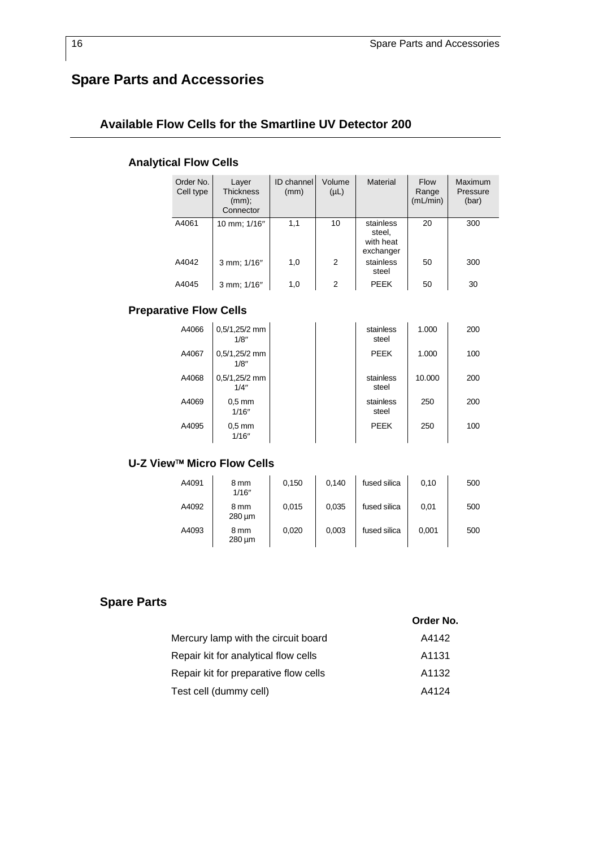# **Spare Parts and Accessories**

### **Available Flow Cells for the Smartline UV Detector 200**

### **Analytical Flow Cells**

| Order No.<br>Cell type | Layer<br><b>Thickness</b><br>(mm);<br>Connector | ID channel<br>(mm) | Volume<br>$(\mu L)$ | <b>Material</b>                               | <b>Flow</b><br>Range<br>(mL/min) | Maximum<br>Pressure<br>(bar) |
|------------------------|-------------------------------------------------|--------------------|---------------------|-----------------------------------------------|----------------------------------|------------------------------|
| A4061                  | 10 mm; 1/16"                                    | 1,1                | 10                  | stainless<br>steel,<br>with heat<br>exchanger | 20                               | 300                          |
| A4042                  | 3 mm; 1/16"                                     | 1,0                | 2                   | stainless<br>steel                            | 50                               | 300                          |
| A4045                  | 3 mm; 1/16"                                     | 1,0                | 2                   | PEEK                                          | 50                               | 30                           |

### **Preparative Flow Cells**

| A4066 | $0,5/1,25/2$ mm<br>1/8" |  | stainless<br>steel | 1.000  | 200 |
|-------|-------------------------|--|--------------------|--------|-----|
| A4067 | $0,5/1,25/2$ mm<br>1/8" |  | <b>PEEK</b>        | 1.000  | 100 |
| A4068 | $0,5/1,25/2$ mm<br>1/4" |  | stainless<br>steel | 10.000 | 200 |
| A4069 | $0.5$ mm<br>1/16"       |  | stainless<br>steel | 250    | 200 |
| A4095 | $0.5$ mm<br>1/16"       |  | <b>PEEK</b>        | 250    | 100 |

### **U-Z View**™ **Micro Flow Cells**

| A4091 | 8 mm<br>1/16"  | 0,150 | 0.140 | fused silica | 0,10  | 500 |
|-------|----------------|-------|-------|--------------|-------|-----|
| A4092 | 8 mm<br>280 um | 0,015 | 0.035 | fused silica | 0,01  | 500 |
| A4093 | 8 mm<br>280 um | 0,020 | 0,003 | fused silica | 0,001 | 500 |

### **Spare Parts**

|                                       | Order No. |
|---------------------------------------|-----------|
| Mercury lamp with the circuit board   | A4142     |
| Repair kit for analytical flow cells  | A1131     |
| Repair kit for preparative flow cells | A1132     |
| Test cell (dummy cell)                | A4124     |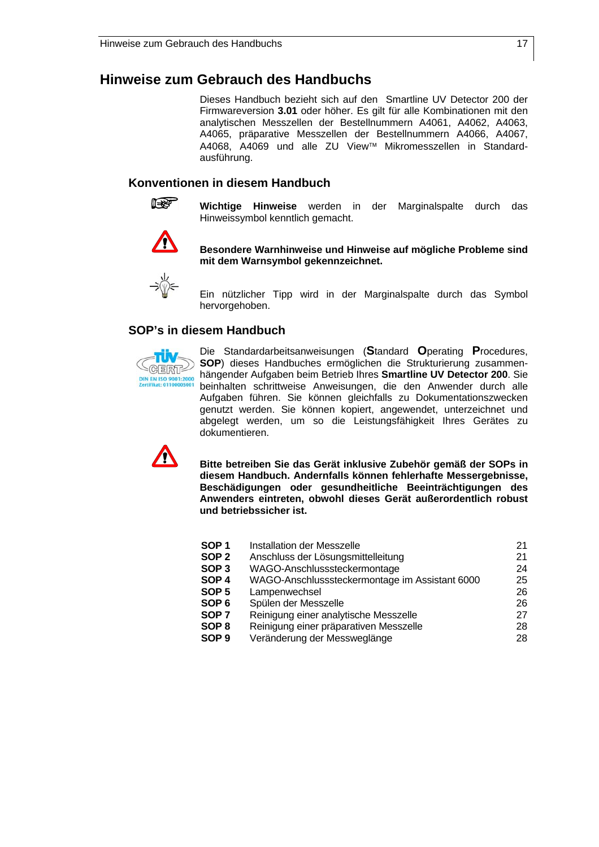### **Hinweise zum Gebrauch des Handbuchs**

Dieses Handbuch bezieht sich auf den Smartline UV Detector 200 der Firmwareversion **3.01** oder höher. Es gilt für alle Kombinationen mit den analytischen Messzellen der Bestellnummern A4061, A4062, A4063, A4065, präparative Messzellen der Bestellnummern A4066, A4067, A4068, A4069 und alle ZU View™ Mikromesszellen in Standardausführung.

### **Konventionen in diesem Handbuch**



**Wichtige Hinweise** werden in der Marginalspalte durch das Hinweissymbol kenntlich gemacht.



 **Besondere Warnhinweise und Hinweise auf mögliche Probleme sind mit dem Warnsymbol gekennzeichnet.** 



Ein nützlicher Tipp wird in der Marginalspalte durch das Symbol hervorgehoben.

### **SOP's in diesem Handbuch**



Die Standardarbeitsanweisungen (**S**tandard **O**perating **P**rocedures, **SOP**) dieses Handbuches ermöglichen die Strukturierung zusammenhängender Aufgaben beim Betrieb Ihres **Smartline UV Detector 200**. Sie beinhalten schrittweise Anweisungen, die den Anwender durch alle Aufgaben führen. Sie können gleichfalls zu Dokumentationszwecken genutzt werden. Sie können kopiert, angewendet, unterzeichnet und abgelegt werden, um so die Leistungsfähigkeit Ihres Gerätes zu dokumentieren.



 **Bitte betreiben Sie das Gerät inklusive Zubehör gemäß der SOPs in diesem Handbuch. Andernfalls können fehlerhafte Messergebnisse, Beschädigungen oder gesundheitliche Beeinträchtigungen des Anwenders eintreten, obwohl dieses Gerät außerordentlich robust und betriebssicher ist.** 

| SOP 1 | Installation der Messzelle                     | 21 |
|-------|------------------------------------------------|----|
| SOP 2 | Anschluss der Lösungsmittelleitung             | 21 |
| SOP 3 | WAGO-Anschlusssteckermontage                   | 24 |
| SOP 4 | WAGO-Anschlusssteckermontage im Assistant 6000 | 25 |
| SOP 5 | Lampenwechsel                                  | 26 |
| SOP 6 | Spülen der Messzelle                           | 26 |
| SOP 7 | Reinigung einer analytische Messzelle          | 27 |
| SOP 8 | Reinigung einer präparativen Messzelle         | 28 |
| SOP 9 | Veränderung der Messweglänge                   | 28 |
|       |                                                |    |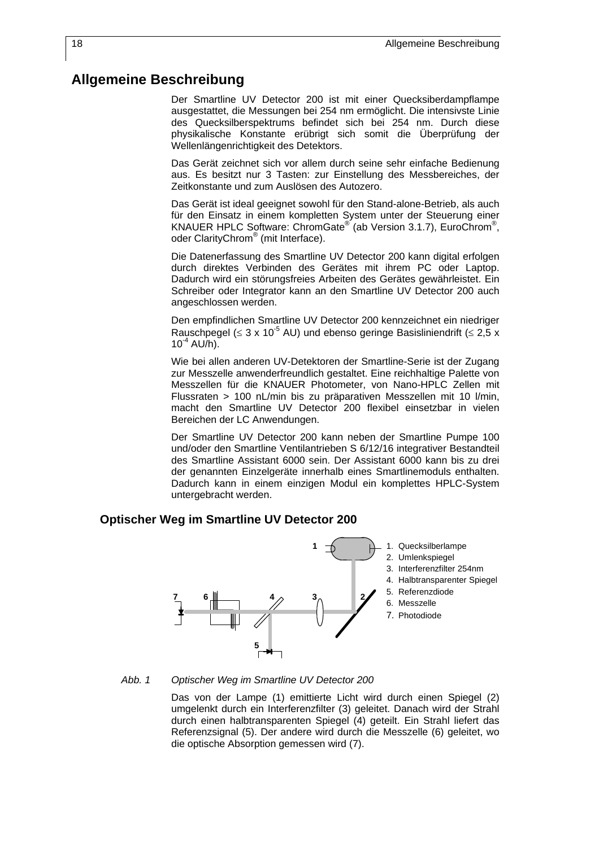### **Allgemeine Beschreibung**

Der Smartline UV Detector 200 ist mit einer Quecksiberdampflampe ausgestattet, die Messungen bei 254 nm ermöglicht. Die intensivste Linie des Quecksilberspektrums befindet sich bei 254 nm. Durch diese physikalische Konstante erübrigt sich somit die Überprüfung der Wellenlängenrichtigkeit des Detektors.

Das Gerät zeichnet sich vor allem durch seine sehr einfache Bedienung aus. Es besitzt nur 3 Tasten: zur Einstellung des Messbereiches, der Zeitkonstante und zum Auslösen des Autozero.

Das Gerät ist ideal geeignet sowohl für den Stand-alone-Betrieb, als auch für den Einsatz in einem kompletten System unter der Steuerung einer KNAUER HPLC Software: ChromGate<sup>®</sup> (ab Version 3.1.7), EuroChrom<sup>®</sup>, oder ClarityChrom® (mit Interface).

Die Datenerfassung des Smartline UV Detector 200 kann digital erfolgen durch direktes Verbinden des Gerätes mit ihrem PC oder Laptop. Dadurch wird ein störungsfreies Arbeiten des Gerätes gewährleistet. Ein Schreiber oder Integrator kann an den Smartline UV Detector 200 auch angeschlossen werden.

Den empfindlichen Smartline UV Detector 200 kennzeichnet ein niedriger Rauschpegel ( $\leq 3 \times 10^{-5}$  AU) und ebenso geringe Basisliniendrift ( $\leq 2.5 \times$  $10^{-4}$  AU/h).

Wie bei allen anderen UV-Detektoren der Smartline-Serie ist der Zugang zur Messzelle anwenderfreundlich gestaltet. Eine reichhaltige Palette von Messzellen für die KNAUER Photometer, von Nano-HPLC Zellen mit Flussraten > 100 nL/min bis zu präparativen Messzellen mit 10 l/min, macht den Smartline UV Detector 200 flexibel einsetzbar in vielen Bereichen der LC Anwendungen.

Der Smartline UV Detector 200 kann neben der Smartline Pumpe 100 und/oder den Smartline Ventilantrieben S 6/12/16 integrativer Bestandteil des Smartline Assistant 6000 sein. Der Assistant 6000 kann bis zu drei der genannten Einzelgeräte innerhalb eines Smartlinemoduls enthalten. Dadurch kann in einem einzigen Modul ein komplettes HPLC-System untergebracht werden.

#### **Optischer Weg im Smartline UV Detector 200**



#### *Abb. 1 Optischer Weg im Smartline UV Detector 200*

Das von der Lampe (1) emittierte Licht wird durch einen Spiegel (2) umgelenkt durch ein Interferenzfilter (3) geleitet. Danach wird der Strahl durch einen halbtransparenten Spiegel (4) geteilt. Ein Strahl liefert das Referenzsignal (5). Der andere wird durch die Messzelle (6) geleitet, wo die optische Absorption gemessen wird (7).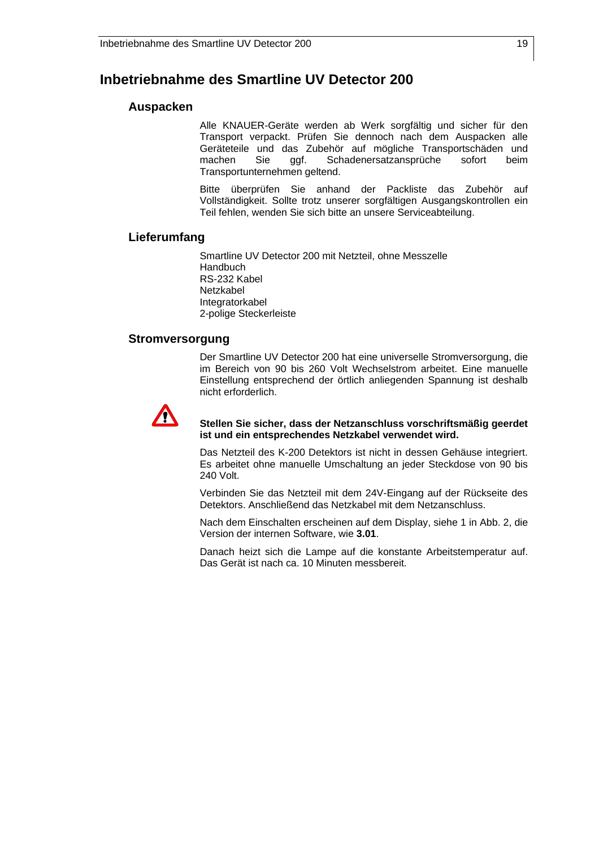### **Inbetriebnahme des Smartline UV Detector 200**

#### **Auspacken**

Alle KNAUER-Geräte werden ab Werk sorgfältig und sicher für den Transport verpackt. Prüfen Sie dennoch nach dem Auspacken alle Geräteteile und das Zubehör auf mögliche Transportschäden und machen Sie ggf. Schadenersatzansprüche sofort beim Transportunternehmen geltend.

Bitte überprüfen Sie anhand der Packliste das Zubehör auf Vollständigkeit. Sollte trotz unserer sorgfältigen Ausgangskontrollen ein Teil fehlen, wenden Sie sich bitte an unsere Serviceabteilung.

#### **Lieferumfang**

Smartline UV Detector 200 mit Netzteil, ohne Messzelle **Handbuch** RS-232 Kabel Netzkabel Integratorkabel 2-polige Steckerleiste

#### **Stromversorgung**

Der Smartline UV Detector 200 hat eine universelle Stromversorgung, die im Bereich von 90 bis 260 Volt Wechselstrom arbeitet. Eine manuelle Einstellung entsprechend der örtlich anliegenden Spannung ist deshalb nicht erforderlich.



#### **Stellen Sie sicher, dass der Netzanschluss vorschriftsmäßig geerdet ist und ein entsprechendes Netzkabel verwendet wird.**

Das Netzteil des K-200 Detektors ist nicht in dessen Gehäuse integriert. Es arbeitet ohne manuelle Umschaltung an jeder Steckdose von 90 bis 240 Volt.

Verbinden Sie das Netzteil mit dem 24V-Eingang auf der Rückseite des Detektors. Anschließend das Netzkabel mit dem Netzanschluss.

Nach dem Einschalten erscheinen auf dem Display, siehe 1 in Abb. 2, die Version der internen Software, wie **3.01**.

Danach heizt sich die Lampe auf die konstante Arbeitstemperatur auf. Das Gerät ist nach ca. 10 Minuten messbereit.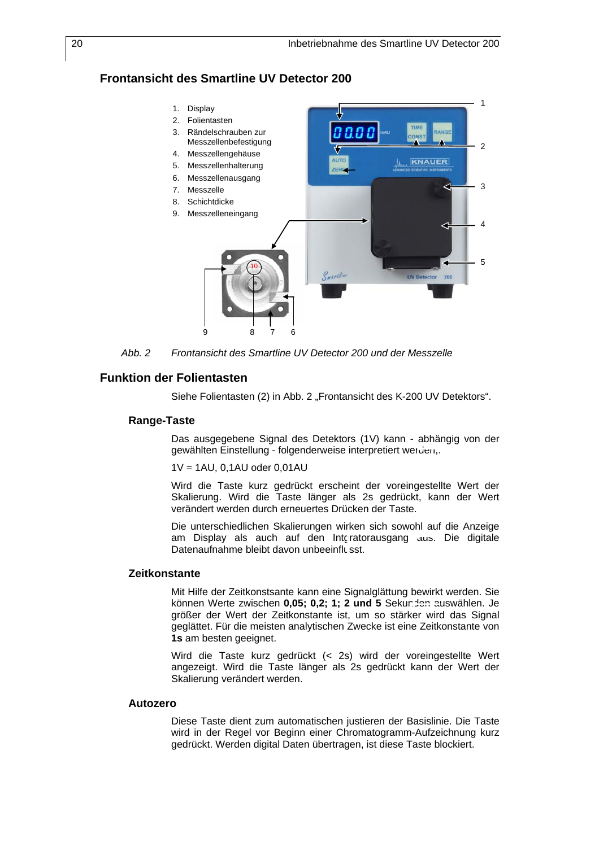### **Frontansicht des Smartline UV Detector 200**



*Abb. 2 Frontansicht des Smartline UV Detector 200 und der Messzelle* 

#### **Funktion der Folientasten**

Siehe Folientasten (2) in Abb. 2 "Frontansicht des K-200 UV Detektors".

#### **Range-Taste**

Das ausgegebene Signal des Detektors (1V) kann - abhängig von der gewählten Einstellung - folgenderweise interpretiert werden,.

1V = 1AU, 0,1AU oder 0,01AU

Wird die Taste kurz gedrückt erscheint der voreingestellte Wert der Skalierung. Wird die Taste länger als 2s gedrückt, kann der Wert verändert werden durch erneuertes Drücken der Taste.

Die unterschiedlichen Skalierungen wirken sich sowohl auf die Anzeige am Display als auch auf den Intgratorausgang aus. Die digitale Datenaufnahme bleibt davon unbeeinflusst.

#### **Zeitkonstante**

Mit Hilfe der Zeitkonstsante kann eine Signalglättung bewirkt werden. Sie können Werte zwischen 0,05; 0,2; 1; 2 und 5 Sekunden auswählen. Je größer der Wert der Zeitkonstante ist, um so stärker wird das Signal geglättet. Für die meisten analytischen Zwecke ist eine Zeitkonstante von **1s** am besten geeignet.

Wird die Taste kurz gedrückt (< 2s) wird der voreingestellte Wert angezeigt. Wird die Taste länger als 2s gedrückt kann der Wert der Skalierung verändert werden.

#### **Autozero**

Diese Taste dient zum automatischen justieren der Basislinie. Die Taste wird in der Regel vor Beginn einer Chromatogramm-Aufzeichnung kurz gedrückt. Werden digital Daten übertragen, ist diese Taste blockiert.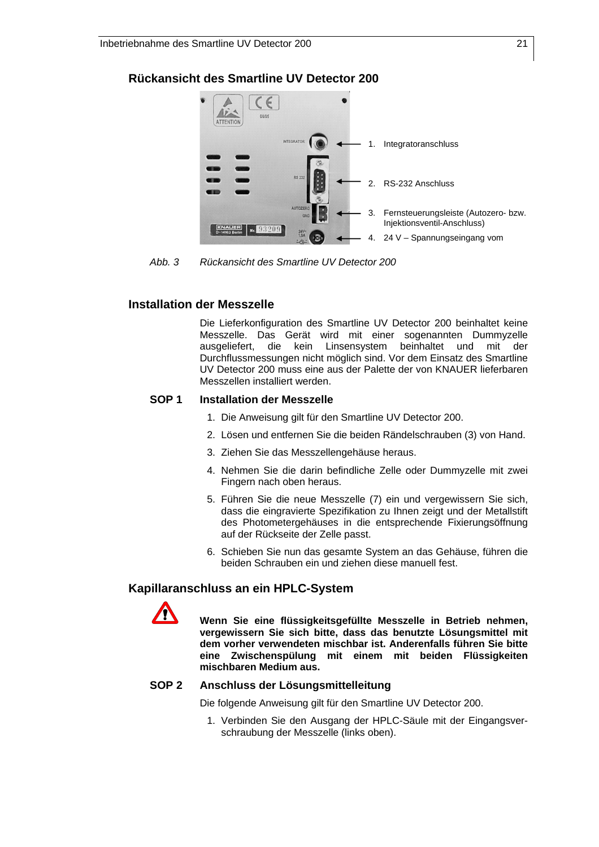### **Rückansicht des Smartline UV Detector 200**



*Abb. 3 Rückansicht des Smartline UV Detector 200* 

#### **Installation der Messzelle**

Die Lieferkonfiguration des Smartline UV Detector 200 beinhaltet keine Messzelle. Das Gerät wird mit einer sogenannten Dummyzelle ausgeliefert, die kein Linsensystem beinhaltet und mit der Durchflussmessungen nicht möglich sind. Vor dem Einsatz des Smartline UV Detector 200 muss eine aus der Palette der von KNAUER lieferbaren Messzellen installiert werden.

#### **SOP 1 Installation der Messzelle**

- 1. Die Anweisung gilt für den Smartline UV Detector 200.
- 2. Lösen und entfernen Sie die beiden Rändelschrauben (3) von Hand.
- 3. Ziehen Sie das Messzellengehäuse heraus.
- 4. Nehmen Sie die darin befindliche Zelle oder Dummyzelle mit zwei Fingern nach oben heraus.
- 5. Führen Sie die neue Messzelle (7) ein und vergewissern Sie sich, dass die eingravierte Spezifikation zu Ihnen zeigt und der Metallstift des Photometergehäuses in die entsprechende Fixierungsöffnung auf der Rückseite der Zelle passt.
- 6. Schieben Sie nun das gesamte System an das Gehäuse, führen die beiden Schrauben ein und ziehen diese manuell fest.

#### **Kapillaranschluss an ein HPLC-System**



 **Wenn Sie eine flüssigkeitsgefüllte Messzelle in Betrieb nehmen, vergewissern Sie sich bitte, dass das benutzte Lösungsmittel mit dem vorher verwendeten mischbar ist. Anderenfalls führen Sie bitte eine Zwischenspülung mit einem mit beiden Flüssigkeiten mischbaren Medium aus.** 

#### **SOP 2 Anschluss der Lösungsmittelleitung**

Die folgende Anweisung gilt für den Smartline UV Detector 200.

1. Verbinden Sie den Ausgang der HPLC-Säule mit der Eingangsverschraubung der Messzelle (links oben).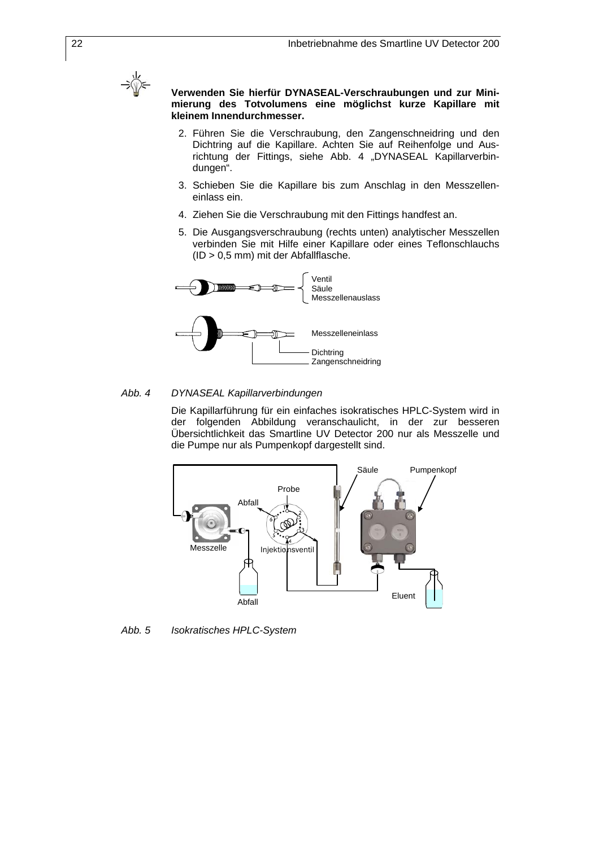

 **Verwenden Sie hierfür DYNASEAL-Verschraubungen und zur Minimierung des Totvolumens eine möglichst kurze Kapillare mit kleinem Innendurchmesser.** 

- 2. Führen Sie die Verschraubung, den Zangenschneidring und den Dichtring auf die Kapillare. Achten Sie auf Reihenfolge und Ausrichtung der Fittings, siehe Abb. 4 "DYNASEAL Kapillarverbindungen".
- 3. Schieben Sie die Kapillare bis zum Anschlag in den Messzelleneinlass ein.
- 4. Ziehen Sie die Verschraubung mit den Fittings handfest an.
- 5. Die Ausgangsverschraubung (rechts unten) analytischer Messzellen verbinden Sie mit Hilfe einer Kapillare oder eines Teflonschlauchs (ID > 0,5 mm) mit der Abfallflasche.



#### *Abb. 4 DYNASEAL Kapillarverbindungen*

Die Kapillarführung für ein einfaches isokratisches HPLC-System wird in der folgenden Abbildung veranschaulicht, in der zur besseren Übersichtlichkeit das Smartline UV Detector 200 nur als Messzelle und die Pumpe nur als Pumpenkopf dargestellt sind.



*Abb. 5 Isokratisches HPLC-System*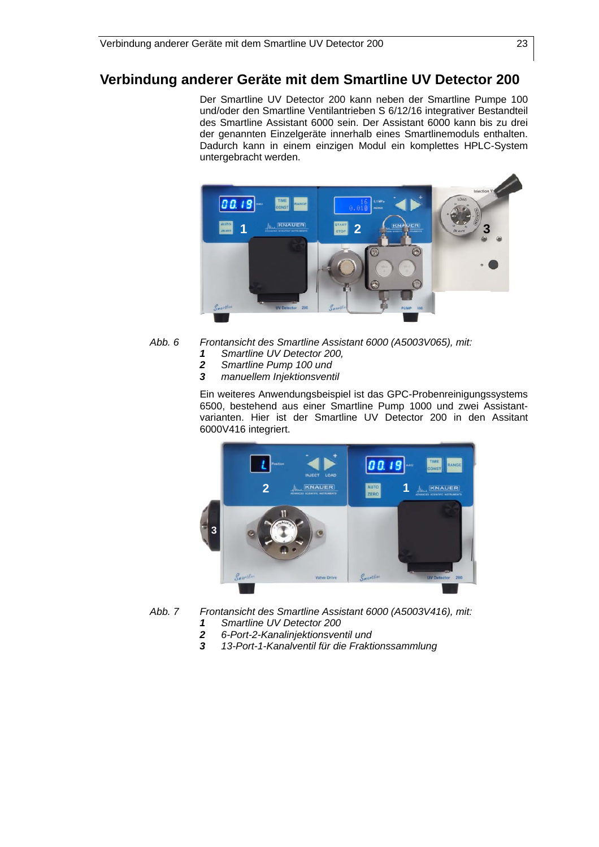### **Verbindung anderer Geräte mit dem Smartline UV Detector 200**

Der Smartline UV Detector 200 kann neben der Smartline Pumpe 100 und/oder den Smartline Ventilantrieben S 6/12/16 integrativer Bestandteil des Smartline Assistant 6000 sein. Der Assistant 6000 kann bis zu drei der genannten Einzelgeräte innerhalb eines Smartlinemoduls enthalten. Dadurch kann in einem einzigen Modul ein komplettes HPLC-System untergebracht werden.



- *Abb. 6 Frontansicht des Smartline Assistant 6000 (A5003V065), mit:* 
	- *1 Smartline UV Detector 200,*
	- *2 Smartline Pump 100 und*
	- *3 manuellem Injektionsventil*

Ein weiteres Anwendungsbeispiel ist das GPC-Probenreinigungssystems 6500, bestehend aus einer Smartline Pump 1000 und zwei Assistantvarianten. Hier ist der Smartline UV Detector 200 in den Assitant 6000V416 integriert.



*Abb. 7 Frontansicht des Smartline Assistant 6000 (A5003V416), mit:* 

- *1 Smartline UV Detector 200*
- *2 6-Port-2-Kanalinjektionsventil und*
- *3 13-Port-1-Kanalventil für die Fraktionssammlung*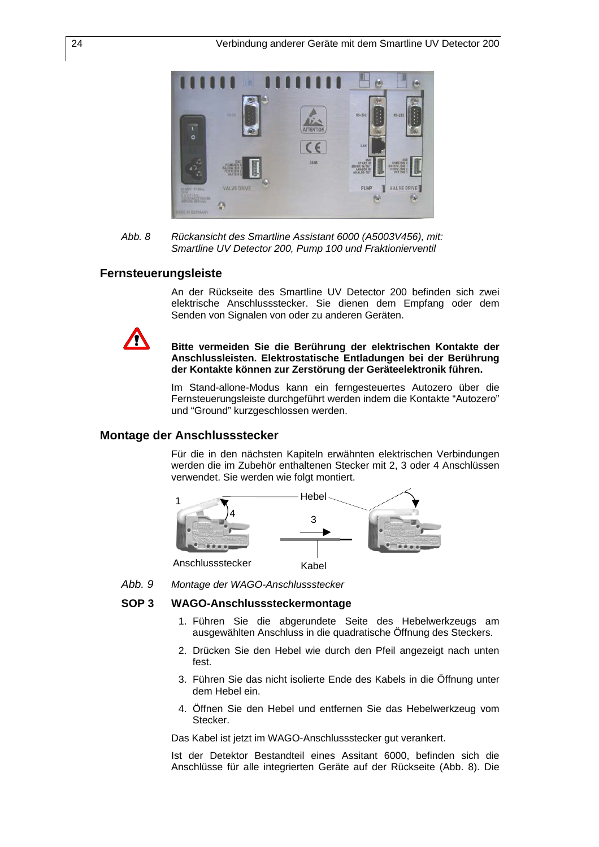

*Abb. 8 Rückansicht des Smartline Assistant 6000 (A5003V456), mit: Smartline UV Detector 200, Pump 100 und Fraktionierventil* 

#### **Fernsteuerungsleiste**

An der Rückseite des Smartline UV Detector 200 befinden sich zwei elektrische Anschlussstecker. Sie dienen dem Empfang oder dem Senden von Signalen von oder zu anderen Geräten.



#### **Bitte vermeiden Sie die Berührung der elektrischen Kontakte der Anschlussleisten. Elektrostatische Entladungen bei der Berührung der Kontakte können zur Zerstörung der Geräteelektronik führen.**

Im Stand-allone-Modus kann ein ferngesteuertes Autozero über die Fernsteuerungsleiste durchgeführt werden indem die Kontakte "Autozero" und "Ground" kurzgeschlossen werden.

#### **Montage der Anschlussstecker**

Für die in den nächsten Kapiteln erwähnten elektrischen Verbindungen werden die im Zubehör enthaltenen Stecker mit 2, 3 oder 4 Anschlüssen verwendet. Sie werden wie folgt montiert.



*Abb. 9 Montage der WAGO-Anschlussstecker*

#### **SOP 3 WAGO-Anschlusssteckermontage**

- 1. Führen Sie die abgerundete Seite des Hebelwerkzeugs am ausgewählten Anschluss in die quadratische Öffnung des Steckers.
- 2. Drücken Sie den Hebel wie durch den Pfeil angezeigt nach unten fest.
- 3. Führen Sie das nicht isolierte Ende des Kabels in die Öffnung unter dem Hebel ein.
- 4. Öffnen Sie den Hebel und entfernen Sie das Hebelwerkzeug vom Stecker.

Das Kabel ist jetzt im WAGO-Anschlussstecker gut verankert.

Ist der Detektor Bestandteil eines Assitant 6000, befinden sich die Anschlüsse für alle integrierten Geräte auf der Rückseite (Abb. 8). Die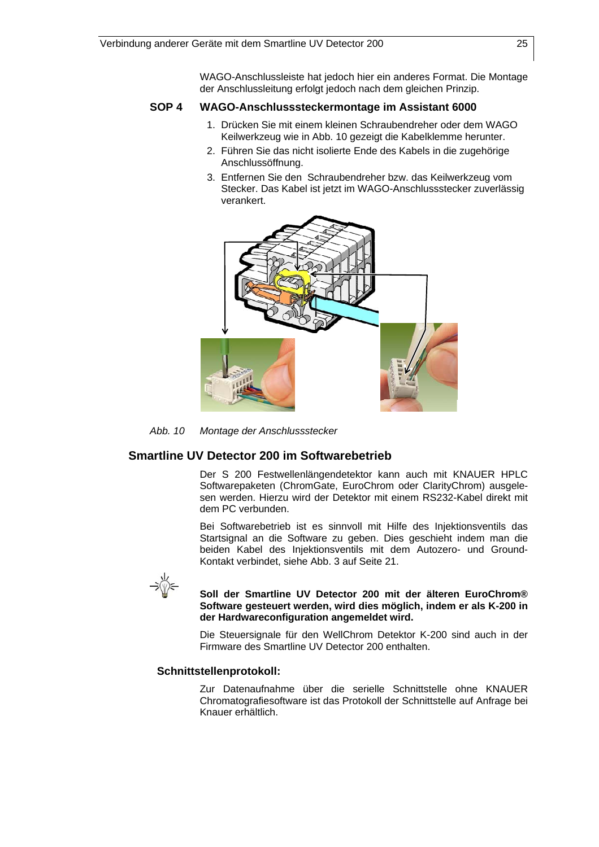WAGO-Anschlussleiste hat jedoch hier ein anderes Format. Die Montage der Anschlussleitung erfolgt jedoch nach dem gleichen Prinzip.

#### **SOP 4 WAGO-Anschlusssteckermontage im Assistant 6000**

- 1. Drücken Sie mit einem kleinen Schraubendreher oder dem WAGO Keilwerkzeug wie in Abb. 10 gezeigt die Kabelklemme herunter.
- 2. Führen Sie das nicht isolierte Ende des Kabels in die zugehörige Anschlussöffnung.
- 3. Entfernen Sie den Schraubendreher bzw. das Keilwerkzeug vom Stecker. Das Kabel ist jetzt im WAGO-Anschlussstecker zuverlässig verankert.



*Abb. 10 Montage der Anschlussstecker* 

### **Smartline UV Detector 200 im Softwarebetrieb**

Der S 200 Festwellenlängendetektor kann auch mit KNAUER HPLC Softwarepaketen (ChromGate, EuroChrom oder ClarityChrom) ausgelesen werden. Hierzu wird der Detektor mit einem RS232-Kabel direkt mit dem PC verbunden.

Bei Softwarebetrieb ist es sinnvoll mit Hilfe des Injektionsventils das Startsignal an die Software zu geben. Dies geschieht indem man die beiden Kabel des Injektionsventils mit dem Autozero- und Ground-Kontakt verbindet, siehe Abb. 3 auf Seite 21.



#### **Soll der Smartline UV Detector 200 mit der älteren EuroChrom® Software gesteuert werden, wird dies möglich, indem er als K-200 in der Hardwareconfiguration angemeldet wird.**

Die Steuersignale für den WellChrom Detektor K-200 sind auch in der Firmware des Smartline UV Detector 200 enthalten.

#### **Schnittstellenprotokoll:**

Zur Datenaufnahme über die serielle Schnittstelle ohne KNAUER Chromatografiesoftware ist das Protokoll der Schnittstelle auf Anfrage bei Knauer erhältlich.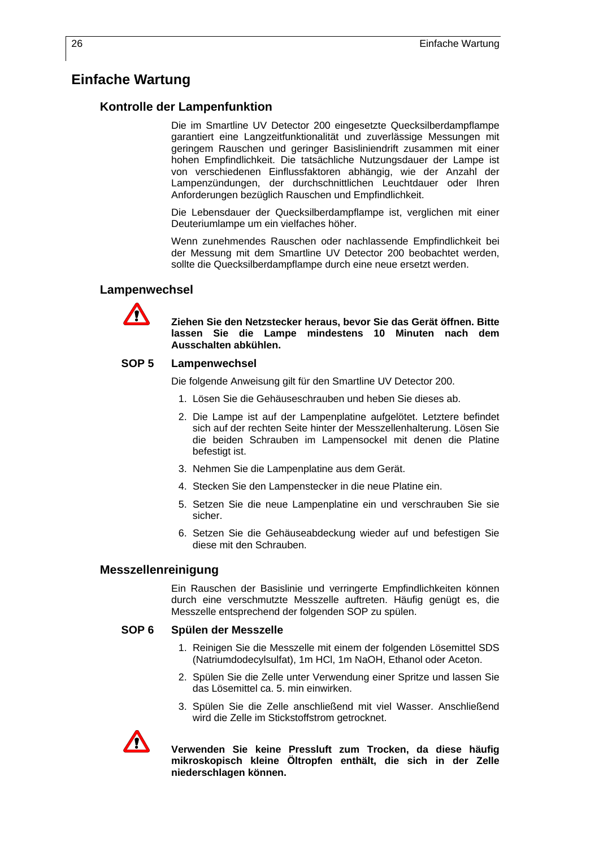### **Einfache Wartung**

#### **Kontrolle der Lampenfunktion**

Die im Smartline UV Detector 200 eingesetzte Quecksilberdampflampe garantiert eine Langzeitfunktionalität und zuverlässige Messungen mit geringem Rauschen und geringer Basisliniendrift zusammen mit einer hohen Empfindlichkeit. Die tatsächliche Nutzungsdauer der Lampe ist von verschiedenen Einflussfaktoren abhängig, wie der Anzahl der Lampenzündungen, der durchschnittlichen Leuchtdauer oder Ihren Anforderungen bezüglich Rauschen und Empfindlichkeit.

Die Lebensdauer der Quecksilberdampflampe ist, verglichen mit einer Deuteriumlampe um ein vielfaches höher.

Wenn zunehmendes Rauschen oder nachlassende Empfindlichkeit bei der Messung mit dem Smartline UV Detector 200 beobachtet werden, sollte die Quecksilberdampflampe durch eine neue ersetzt werden.

#### **Lampenwechsel**



 **Ziehen Sie den Netzstecker heraus, bevor Sie das Gerät öffnen. Bitte lassen Sie die Lampe mindestens 10 Minuten nach dem Ausschalten abkühlen.** 

#### **SOP 5 Lampenwechsel**

Die folgende Anweisung gilt für den Smartline UV Detector 200.

- 1. Lösen Sie die Gehäuseschrauben und heben Sie dieses ab.
- 2. Die Lampe ist auf der Lampenplatine aufgelötet. Letztere befindet sich auf der rechten Seite hinter der Messzellenhalterung. Lösen Sie die beiden Schrauben im Lampensockel mit denen die Platine befestigt ist.
- 3. Nehmen Sie die Lampenplatine aus dem Gerät.
- 4. Stecken Sie den Lampenstecker in die neue Platine ein.
- 5. Setzen Sie die neue Lampenplatine ein und verschrauben Sie sie sicher.
- 6. Setzen Sie die Gehäuseabdeckung wieder auf und befestigen Sie diese mit den Schrauben.

#### **Messzellenreinigung**

Ein Rauschen der Basislinie und verringerte Empfindlichkeiten können durch eine verschmutzte Messzelle auftreten. Häufig genügt es, die Messzelle entsprechend der folgenden SOP zu spülen.

#### **SOP 6 Spülen der Messzelle**

- 1. Reinigen Sie die Messzelle mit einem der folgenden Lösemittel SDS (Natriumdodecylsulfat), 1m HCl, 1m NaOH, Ethanol oder Aceton.
- 2. Spülen Sie die Zelle unter Verwendung einer Spritze und lassen Sie das Lösemittel ca. 5. min einwirken.
- 3. Spülen Sie die Zelle anschließend mit viel Wasser. Anschließend wird die Zelle im Stickstoffstrom getrocknet.



 **Verwenden Sie keine Pressluft zum Trocken, da diese häufig mikroskopisch kleine Öltropfen enthält, die sich in der Zelle niederschlagen können.**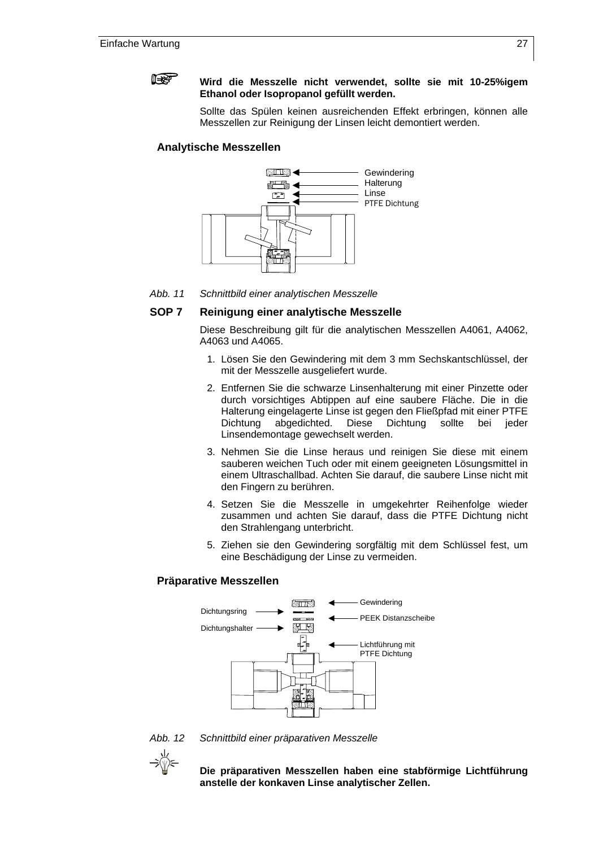

#### **Wird die Messzelle nicht verwendet, sollte sie mit 10-25%igem Ethanol oder Isopropanol gefüllt werden.**

Sollte das Spülen keinen ausreichenden Effekt erbringen, können alle Messzellen zur Reinigung der Linsen leicht demontiert werden.

#### **Analytische Messzellen**



*Abb. 11 Schnittbild einer analytischen Messzelle* 

#### **SOP 7 Reinigung einer analytische Messzelle**

Diese Beschreibung gilt für die analytischen Messzellen A4061, A4062, A4063 und A4065.

- 1. Lösen Sie den Gewindering mit dem 3 mm Sechskantschlüssel, der mit der Messzelle ausgeliefert wurde.
- 2. Entfernen Sie die schwarze Linsenhalterung mit einer Pinzette oder durch vorsichtiges Abtippen auf eine saubere Fläche. Die in die Halterung eingelagerte Linse ist gegen den Fließpfad mit einer PTFE Dichtung abgedichted. Diese Dichtung sollte bei jeder Linsendemontage gewechselt werden.
- 3. Nehmen Sie die Linse heraus und reinigen Sie diese mit einem sauberen weichen Tuch oder mit einem geeigneten Lösungsmittel in einem Ultraschallbad. Achten Sie darauf, die saubere Linse nicht mit den Fingern zu berühren.
- 4. Setzen Sie die Messzelle in umgekehrter Reihenfolge wieder zusammen und achten Sie darauf, dass die PTFE Dichtung nicht den Strahlengang unterbricht.
- 5. Ziehen sie den Gewindering sorgfältig mit dem Schlüssel fest, um eine Beschädigung der Linse zu vermeiden.

#### **Präparative Messzellen**



*Abb. 12 Schnittbild einer präparativen Messzelle* 



 **Die präparativen Messzellen haben eine stabförmige Lichtführung anstelle der konkaven Linse analytischer Zellen.**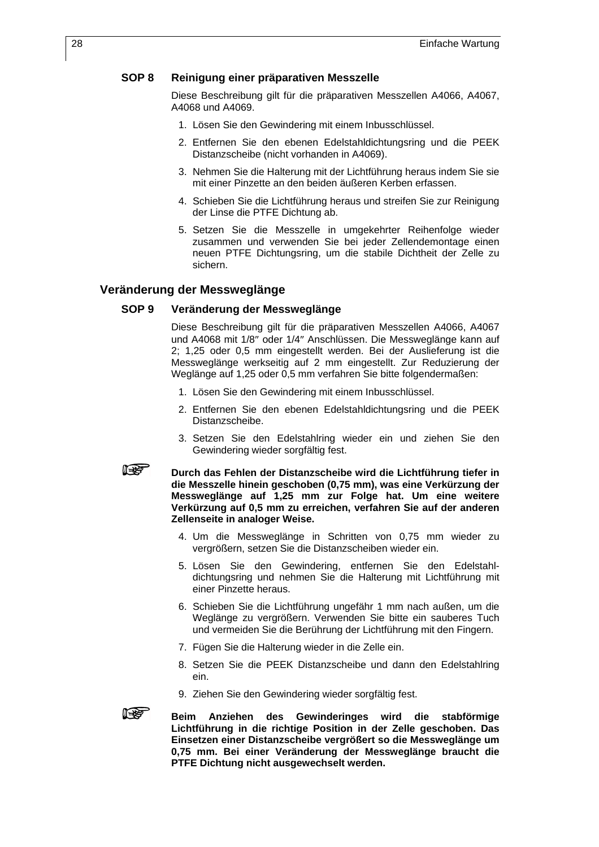#### **SOP 8 Reinigung einer präparativen Messzelle**

Diese Beschreibung gilt für die präparativen Messzellen A4066, A4067, A4068 und A4069.

- 1. Lösen Sie den Gewindering mit einem Inbusschlüssel.
- 2. Entfernen Sie den ebenen Edelstahldichtungsring und die PEEK Distanzscheibe (nicht vorhanden in A4069).
- 3. Nehmen Sie die Halterung mit der Lichtführung heraus indem Sie sie mit einer Pinzette an den beiden äußeren Kerben erfassen.
- 4. Schieben Sie die Lichtführung heraus und streifen Sie zur Reinigung der Linse die PTFE Dichtung ab.
- 5. Setzen Sie die Messzelle in umgekehrter Reihenfolge wieder zusammen und verwenden Sie bei jeder Zellendemontage einen neuen PTFE Dichtungsring, um die stabile Dichtheit der Zelle zu sichern.

#### **Veränderung der Messweglänge**

#### **SOP 9 Veränderung der Messweglänge**

Diese Beschreibung gilt für die präparativen Messzellen A4066, A4067 und A4068 mit 1/8″ oder 1/4″ Anschlüssen. Die Messweglänge kann auf 2; 1,25 oder 0,5 mm eingestellt werden. Bei der Auslieferung ist die Messweglänge werkseitig auf 2 mm eingestellt. Zur Reduzierung der Weglänge auf 1,25 oder 0,5 mm verfahren Sie bitte folgendermaßen:

- 1. Lösen Sie den Gewindering mit einem Inbusschlüssel.
- 2. Entfernen Sie den ebenen Edelstahldichtungsring und die PEEK Distanzscheibe.
- 3. Setzen Sie den Edelstahlring wieder ein und ziehen Sie den Gewindering wieder sorgfältig fest.

### **IBS**

 **Durch das Fehlen der Distanzscheibe wird die Lichtführung tiefer in die Messzelle hinein geschoben (0,75 mm), was eine Verkürzung der Messweglänge auf 1,25 mm zur Folge hat. Um eine weitere Verkürzung auf 0,5 mm zu erreichen, verfahren Sie auf der anderen Zellenseite in analoger Weise.** 

- 4. Um die Messweglänge in Schritten von 0,75 mm wieder zu vergrößern, setzen Sie die Distanzscheiben wieder ein.
- 5. Lösen Sie den Gewindering, entfernen Sie den Edelstahldichtungsring und nehmen Sie die Halterung mit Lichtführung mit einer Pinzette heraus.
- 6. Schieben Sie die Lichtführung ungefähr 1 mm nach außen, um die Weglänge zu vergrößern. Verwenden Sie bitte ein sauberes Tuch und vermeiden Sie die Berührung der Lichtführung mit den Fingern.
- 7. Fügen Sie die Halterung wieder in die Zelle ein.
- 8. Setzen Sie die PEEK Distanzscheibe und dann den Edelstahlring ein.
- 9. Ziehen Sie den Gewindering wieder sorgfältig fest.
- **ISS**

 **Beim Anziehen des Gewinderinges wird die stabförmige Lichtführung in die richtige Position in der Zelle geschoben. Das Einsetzen einer Distanzscheibe vergrößert so die Messweglänge um 0,75 mm. Bei einer Veränderung der Messweglänge braucht die PTFE Dichtung nicht ausgewechselt werden.**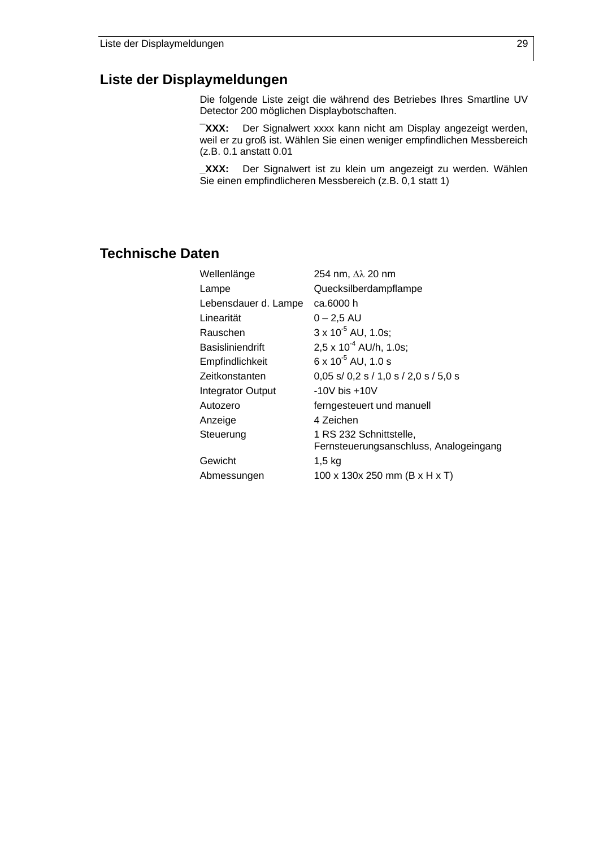### **Liste der Displaymeldungen**

Die folgende Liste zeigt die während des Betriebes Ihres Smartline UV Detector 200 möglichen Displaybotschaften.

**¯XXX:** Der Signalwert xxxx kann nicht am Display angezeigt werden, weil er zu groß ist. Wählen Sie einen weniger empfindlichen Messbereich (z.B. 0.1 anstatt 0.01

**\_XXX:** Der Signalwert ist zu klein um angezeigt zu werden. Wählen Sie einen empfindlicheren Messbereich (z.B. 0,1 statt 1)

### **Technische Daten**

| Wellenlänge              | 254 nm, Δλ 20 nm                                |
|--------------------------|-------------------------------------------------|
| Lampe                    | Quecksilberdampflampe                           |
| Lebensdauer d. Lampe     | ca.6000 h                                       |
| Linearität               | $0 - 2,5$ AU                                    |
| Rauschen                 | $3 \times 10^{-5}$ AU, 1.0s;                    |
| Basisliniendrift         | $2.5 \times 10^{-4}$ AU/h, 1.0s;                |
| Empfindlichkeit          | $6 \times 10^{-5}$ AU, 1.0 s                    |
| Zeitkonstanten           | $0,05$ s/ $0,2$ s / $1,0$ s / $2,0$ s / $5,0$ s |
| <b>Integrator Output</b> | $-10V$ bis $+10V$                               |
| Autozero                 | ferngesteuert und manuell                       |
| Anzeige                  | 4 Zeichen                                       |
| Steuerung                | 1 RS 232 Schnittstelle,                         |
|                          | Fernsteuerungsanschluss, Analogeingang          |
| Gewicht                  | $1,5$ kg                                        |
| Abmessungen              | 100 x 130x 250 mm (B x H x T)                   |
|                          |                                                 |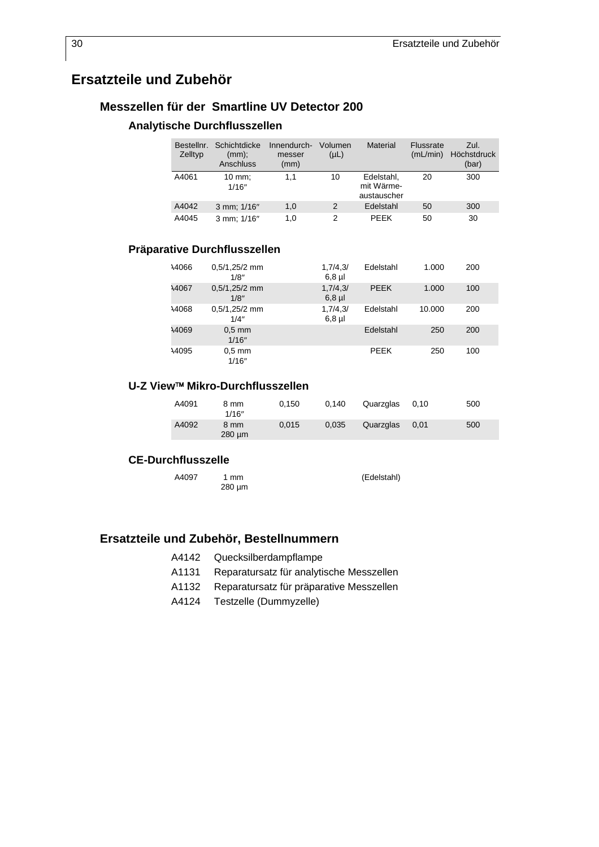## **Ersatzteile und Zubehör**

### **Messzellen für der Smartline UV Detector 200**

#### **Analytische Durchflusszellen**

| Bestellnr.<br>Zelltyp | Schichtdicke<br>(mm);<br>Anschluss | Innendurch-<br>messer<br>(mm) | Volumen<br>$(\mu L)$ | Material                                | Flussrate<br>(mL/min) | Zul.<br>Höchstdruck<br>(bar) |
|-----------------------|------------------------------------|-------------------------------|----------------------|-----------------------------------------|-----------------------|------------------------------|
| A4061                 | $10$ mm;<br>1/16"                  | 1.1                           | 10                   | Edelstahl.<br>mit Wärme-<br>austauscher | 20                    | 300                          |
| A4042                 | 3 mm; 1/16"                        | 1,0                           | $\mathcal{P}$        | Edelstahl                               | 50                    | 300                          |
| A4045                 | 3 mm; 1/16"                        | 1.0                           | $\mathcal{P}$        | PFFK                                    | 50                    | 30                           |

### **Präparative Durchflusszellen**

| 14066        | $0.5/1,25/2$ mm<br>1/8" | 1,7/4,3/<br>$6,8$ µl | Edelstahl   | 1.000  | 200 |
|--------------|-------------------------|----------------------|-------------|--------|-----|
| <b>A4067</b> | $0.5/1,25/2$ mm<br>1/8" | 1,7/4,3/<br>$6,8$ µl | <b>PEEK</b> | 1.000  | 100 |
| 14068        | $0.5/1,25/2$ mm<br>1/4" | 1,7/4,3/<br>$6,8$ µl | Edelstahl   | 10.000 | 200 |
| A4069        | $0.5$ mm<br>1/16"       |                      | Edelstahl   | 250    | 200 |
| 14095        | $0.5$ mm<br>1/16"       |                      | PEEK        | 250    | 100 |

#### **U-Z View**™ **Mikro-Durchflusszellen**

| A4091 | 8 mm<br>1/16"       | 0.150 | 0.140 | Quarzglas | 0.10 | 500 |
|-------|---------------------|-------|-------|-----------|------|-----|
| A4092 | 8 mm<br>$280 \mu m$ | 0.015 | 0.035 | Quarzglas | 0.01 | 500 |

#### **CE-Durchflusszelle**

A4097 1 mm 280 µm (Edelstahl)

### **Ersatzteile und Zubehör, Bestellnummern**

- A4142 Quecksilberdampflampe
- A1131 Reparatursatz für analytische Messzellen
- A1132 Reparatursatz für präparative Messzellen
- A4124 Testzelle (Dummyzelle)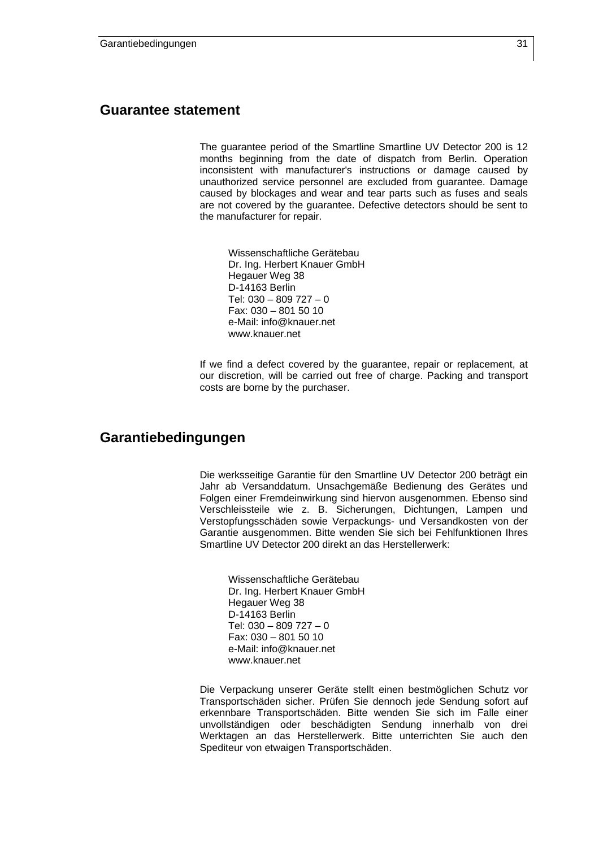### **Guarantee statement**

The guarantee period of the Smartline Smartline UV Detector 200 is 12 months beginning from the date of dispatch from Berlin. Operation inconsistent with manufacturer's instructions or damage caused by unauthorized service personnel are excluded from guarantee. Damage caused by blockages and wear and tear parts such as fuses and seals are not covered by the guarantee. Defective detectors should be sent to the manufacturer for repair.

Wissenschaftliche Gerätebau Dr. Ing. Herbert Knauer GmbH Hegauer Weg 38 D-14163 Berlin Tel: 030 – 809 727 – 0 Fax: 030 – 801 50 10 e-Mail: info@knauer.net www.knauer.net

If we find a defect covered by the guarantee, repair or replacement, at our discretion, will be carried out free of charge. Packing and transport costs are borne by the purchaser.

### **Garantiebedingungen**

Die werksseitige Garantie für den Smartline UV Detector 200 beträgt ein Jahr ab Versanddatum. Unsachgemäße Bedienung des Gerätes und Folgen einer Fremdeinwirkung sind hiervon ausgenommen. Ebenso sind Verschleissteile wie z. B. Sicherungen, Dichtungen, Lampen und Verstopfungsschäden sowie Verpackungs- und Versandkosten von der Garantie ausgenommen. Bitte wenden Sie sich bei Fehlfunktionen Ihres Smartline UV Detector 200 direkt an das Herstellerwerk:

Wissenschaftliche Gerätebau Dr. Ing. Herbert Knauer GmbH Hegauer Weg 38 D-14163 Berlin Tel: 030 – 809 727 – 0 Fax: 030 – 801 50 10 e-Mail: info@knauer.net www.knauer.net

Die Verpackung unserer Geräte stellt einen bestmöglichen Schutz vor Transportschäden sicher. Prüfen Sie dennoch jede Sendung sofort auf erkennbare Transportschäden. Bitte wenden Sie sich im Falle einer unvollständigen oder beschädigten Sendung innerhalb von drei Werktagen an das Herstellerwerk. Bitte unterrichten Sie auch den Spediteur von etwaigen Transportschäden.